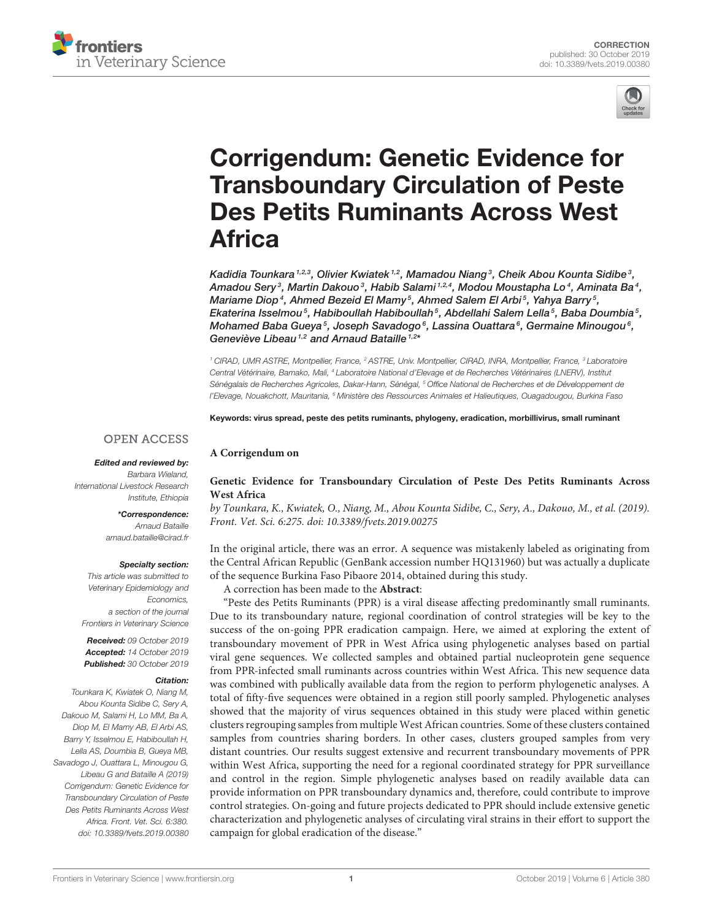



# Corrigendum: Genetic Evidence for [Transboundary Circulation of Peste](https://www.frontiersin.org/articles/10.3389/fvets.2019.00380/full) Des Petits Ruminants Across West Africa

Kadidia Tounkara $^{1,2,3}$ , [Olivier Kwiatek](http://loop.frontiersin.org/people/730168/overview) $^{1,2}$ , [Mamadou Niang](http://loop.frontiersin.org/people/741709/overview) $^3$ , Cheik Abou Kounta Sidibe $^3$ , Amadou Sery $^3$ , Martin Dakouo $^3$ , Habib Salami  $^{1,2,4}$ , [Modou Moustapha Lo](http://loop.frontiersin.org/people/728791/overview) $^4$ , Aminata Ba $^4$ , Mariame Diop<sup>4</sup>, Ahmed Bezeid El Mamy<sup>5</sup>, Ahmed Salem El Arbi<sup>5</sup>, Yahya Barry<sup>5</sup>, Ekaterina Isselmou $^5$ , Habiboullah Habiboullah $^5$ , Abdellahi Salem Lella $^5$ , Baba Doumbia $^5$ , Mohamed Baba Gueya $^5$ , Joseph Savadogo $^6$ , Lassina Ouattara $^6$ , Germaine Minougou $^6$ , [Geneviève Libeau](http://loop.frontiersin.org/people/786615/overview)<sup>1,2</sup> and [Arnaud Bataille](http://loop.frontiersin.org/people/727831/overview)<sup>1,2\*</sup>

<sup>1</sup> CIRAD, UMR ASTRE, Montpellier, France, <sup>2</sup> ASTRE, Univ. Montpellier, CIRAD, INRA, Montpellier, France, <sup>3</sup> Laboratoire Central Vétérinaire, Bamako, Mali, <sup>4</sup> Laboratoire National d'Elevage et de Recherches Vétérinaires (LNERV), Institut Sénégalais de Recherches Agricoles, Dakar-Hann, Sénégal, <sup>5</sup> Office National de Recherches et de Développement de l'Elevage, Nouakchott, Mauritania, <sup>6</sup> Ministère des Ressources Animales et Halieutiques, Ouagadougou, Burkina Faso

Keywords: virus spread, peste des petits ruminants, phylogeny, eradication, morbillivirus, small ruminant

## **OPEN ACCESS**

#### Edited and reviewed by:

Barbara Wieland, International Livestock Research Institute, Ethiopia

> \*Correspondence: Arnaud Bataille

[arnaud.bataille@cirad.fr](mailto:arnaud.bataille@cirad.fr)

#### Specialty section:

This article was submitted to Veterinary Epidemiology and Economics, a section of the journal Frontiers in Veterinary Science

Received: 09 October 2019 Accepted: 14 October 2019 Published: 30 October 2019

#### Citation:

Tounkara K, Kwiatek O, Niang M, Abou Kounta Sidibe C, Sery A, Dakouo M, Salami H, Lo MM, Ba A, Diop M, El Mamy AB, El Arbi AS, Barry Y, Isselmou E, Habiboullah H, Lella AS, Doumbia B, Gueya MB, Savadogo J, Ouattara L, Minougou G, Libeau G and Bataille A (2019) Corrigendum: Genetic Evidence for Transboundary Circulation of Peste Des Petits Ruminants Across West Africa. Front. Vet. Sci. 6:380. doi: [10.3389/fvets.2019.00380](https://doi.org/10.3389/fvets.2019.00380)

### **[Genetic Evidence for Transboundary Circulation of Peste Des Petits Ruminants Across](https://doi.org/10.3389/fvets.2019.00275) West Africa**

by Tounkara, K., Kwiatek, O., Niang, M., Abou Kounta Sidibe, C., Sery, A., Dakouo, M., et al. (2019). Front. Vet. Sci. 6:275. doi: [10.3389/fvets.2019.00275](https://doi.org/10.3389/fvets.2019.00275)

In the original article, there was an error. A sequence was mistakenly labeled as originating from the Central African Republic (GenBank accession number HQ131960) but was actually a duplicate of the sequence Burkina Faso Pibaore 2014, obtained during this study.

A correction has been made to the **Abstract**:

**A Corrigendum on**

"Peste des Petits Ruminants (PPR) is a viral disease affecting predominantly small ruminants. Due to its transboundary nature, regional coordination of control strategies will be key to the success of the on-going PPR eradication campaign. Here, we aimed at exploring the extent of transboundary movement of PPR in West Africa using phylogenetic analyses based on partial viral gene sequences. We collected samples and obtained partial nucleoprotein gene sequence from PPR-infected small ruminants across countries within West Africa. This new sequence data was combined with publically available data from the region to perform phylogenetic analyses. A total of fifty-five sequences were obtained in a region still poorly sampled. Phylogenetic analyses showed that the majority of virus sequences obtained in this study were placed within genetic clusters regrouping samples from multiple West African countries. Some of these clusters contained samples from countries sharing borders. In other cases, clusters grouped samples from very distant countries. Our results suggest extensive and recurrent transboundary movements of PPR within West Africa, supporting the need for a regional coordinated strategy for PPR surveillance and control in the region. Simple phylogenetic analyses based on readily available data can provide information on PPR transboundary dynamics and, therefore, could contribute to improve control strategies. On-going and future projects dedicated to PPR should include extensive genetic characterization and phylogenetic analyses of circulating viral strains in their effort to support the campaign for global eradication of the disease."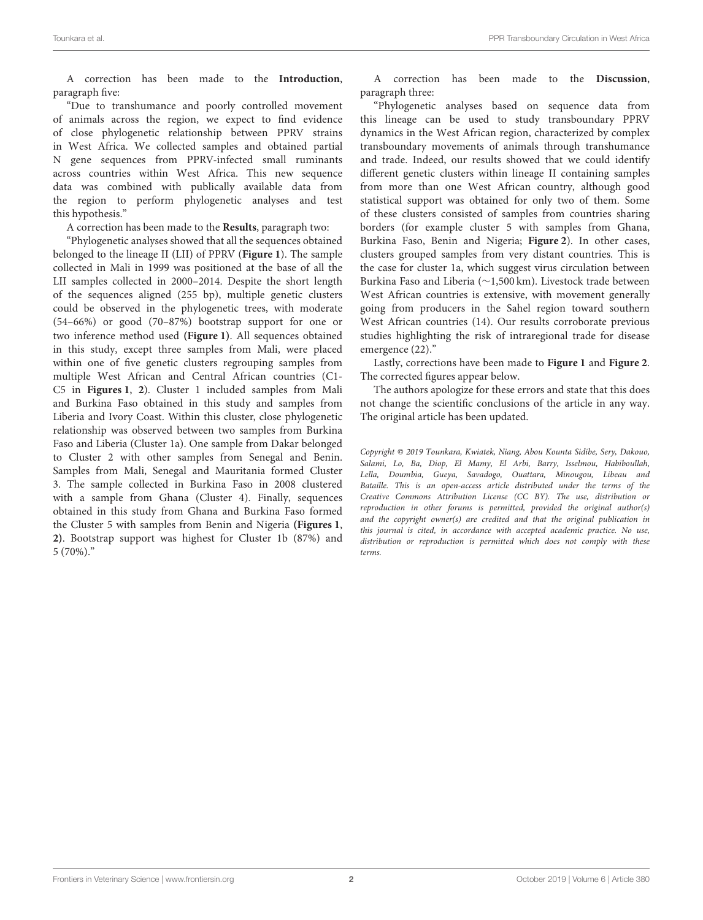A correction has been made to the **Introduction**, paragraph five:

"Due to transhumance and poorly controlled movement of animals across the region, we expect to find evidence of close phylogenetic relationship between PPRV strains in West Africa. We collected samples and obtained partial N gene sequences from PPRV-infected small ruminants across countries within West Africa. This new sequence data was combined with publically available data from the region to perform phylogenetic analyses and test this hypothesis."

A correction has been made to the **Results**, paragraph two:

"Phylogenetic analyses showed that all the sequences obtained belonged to the lineage II (LII) of PPRV (**[Figure 1](#page-2-0)**). The sample collected in Mali in 1999 was positioned at the base of all the LII samples collected in 2000–2014. Despite the short length of the sequences aligned (255 bp), multiple genetic clusters could be observed in the phylogenetic trees, with moderate (54–66%) or good (70–87%) bootstrap support for one or two inference method used **[\(Figure 1\)](#page-2-0)**. All sequences obtained in this study, except three samples from Mali, were placed within one of five genetic clusters regrouping samples from multiple West African and Central African countries (C1- C5 in **[Figures 1](#page-2-0)**, **[2](#page-3-0)**). Cluster 1 included samples from Mali and Burkina Faso obtained in this study and samples from Liberia and Ivory Coast. Within this cluster, close phylogenetic relationship was observed between two samples from Burkina Faso and Liberia (Cluster 1a). One sample from Dakar belonged to Cluster 2 with other samples from Senegal and Benin. Samples from Mali, Senegal and Mauritania formed Cluster 3. The sample collected in Burkina Faso in 2008 clustered with a sample from Ghana (Cluster 4). Finally, sequences obtained in this study from Ghana and Burkina Faso formed the Cluster 5 with samples from Benin and Nigeria **[\(Figures 1](#page-2-0)**, **[2\)](#page-3-0)**. Bootstrap support was highest for Cluster 1b (87%) and 5 (70%)."

A correction has been made to the **Discussion**, paragraph three:

"Phylogenetic analyses based on sequence data from this lineage can be used to study transboundary PPRV dynamics in the West African region, characterized by complex transboundary movements of animals through transhumance and trade. Indeed, our results showed that we could identify different genetic clusters within lineage II containing samples from more than one West African country, although good statistical support was obtained for only two of them. Some of these clusters consisted of samples from countries sharing borders (for example cluster 5 with samples from Ghana, Burkina Faso, Benin and Nigeria; **[Figure 2](#page-3-0)**). In other cases, clusters grouped samples from very distant countries. This is the case for cluster 1a, which suggest virus circulation between Burkina Faso and Liberia (∼1,500 km). Livestock trade between West African countries is extensive, with movement generally going from producers in the Sahel region toward southern West African countries (14). Our results corroborate previous studies highlighting the risk of intraregional trade for disease emergence (22)."

Lastly, corrections have been made to **[Figure 1](#page-2-0)** and **[Figure 2](#page-3-0)**. The corrected figures appear below.

The authors apologize for these errors and state that this does not change the scientific conclusions of the article in any way. The original article has been updated.

Copyright © 2019 Tounkara, Kwiatek, Niang, Abou Kounta Sidibe, Sery, Dakouo, Salami, Lo, Ba, Diop, El Mamy, El Arbi, Barry, Isselmou, Habiboullah, Lella, Doumbia, Gueya, Savadogo, Ouattara, Minougou, Libeau and Bataille. This is an open-access article distributed under the terms of the [Creative Commons Attribution License \(CC BY\).](http://creativecommons.org/licenses/by/4.0/) The use, distribution or reproduction in other forums is permitted, provided the original author(s) and the copyright owner(s) are credited and that the original publication in this journal is cited, in accordance with accepted academic practice. No use, distribution or reproduction is permitted which does not comply with these terms.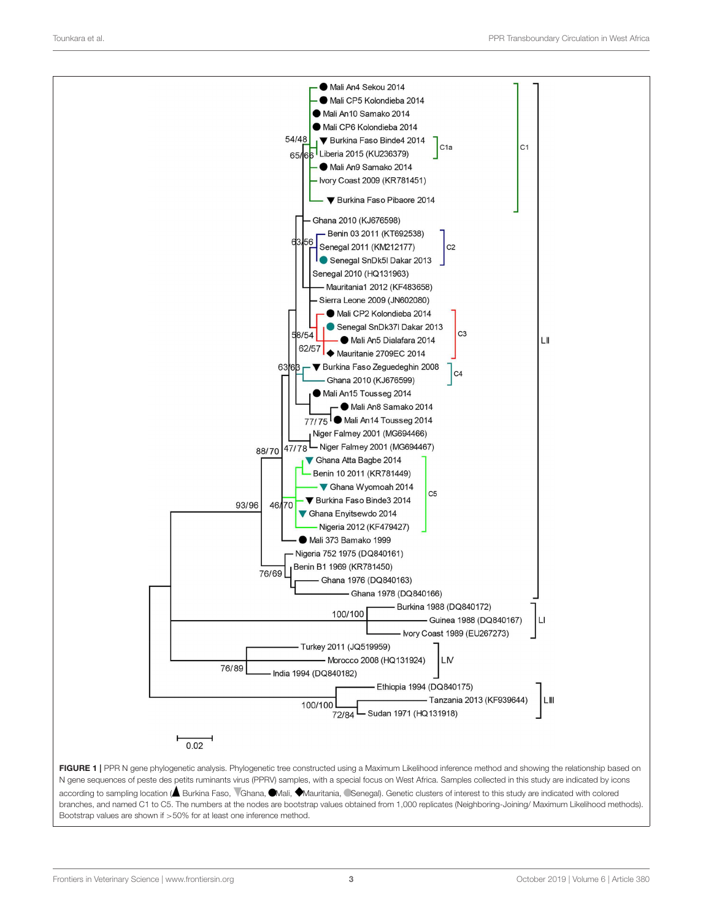

<span id="page-2-0"></span>N gene sequences of peste des petits ruminants virus (PPRV) samples, with a special focus on West Africa. Samples collected in this study are indicated by icons according to sampling location (A Burkina Faso, VGhana, OMali, Mauritania, CSenegal). Genetic clusters of interest to this study are indicated with colored branches, and named C1 to C5. The numbers at the nodes are bootstrap values obtained from 1,000 replicates (Neighboring-Joining/ Maximum Likelihood methods). Bootstrap values are shown if >50% for at least one inference method.